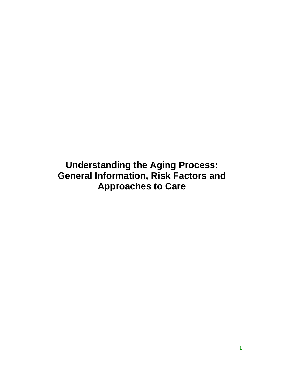**Understanding the Aging Process: General Information, Risk Factors and Approaches to Care**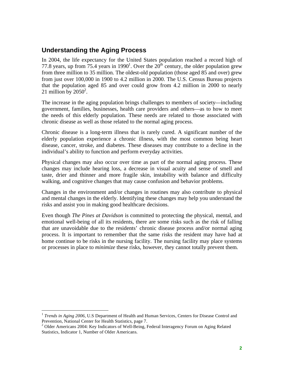## **Understanding the Aging Process**

In 2004, the life expectancy for the United States population reached a record high of 77.8 years, up from 75.4 years in 1990<sup>1</sup>. Over the  $20^{th}$  century, the older population grew from three million to 35 million. The oldest-old population (those aged 85 and over) grew from just over 100,000 in 1900 to 4.2 million in 2000. The U.S. Census Bureau projects that the population aged 85 and over could grow from 4.2 million in 2000 to nearly 21 million by  $2050^2$ .

The increase in the aging population brings challenges to members of society—including government, families, businesses, health care providers and others—as to how to meet the needs of this elderly population. These needs are related to those associated with chronic disease as well as those related to the normal aging process.

Chronic disease is a long-term illness that is rarely cured. A significant number of the elderly population experience a chronic illness, with the most common being heart disease, cancer, stroke, and diabetes. These diseases may contribute to a decline in the individual's ability to function and perform everyday activities.

Physical changes may also occur over time as part of the normal aging process. These changes may include hearing loss, a decrease in visual acuity and sense of smell and taste, drier and thinner and more fragile skin, instability with balance and difficulty walking, and cognitive changes that may cause confusion and behavior problems.

Changes in the environment and/or changes in routines may also contribute to physical and mental changes in the elderly. Identifying these changes may help you understand the risks and assist you in making good healthcare decisions.

Even though *The Pines at Davidson* is committed to protecting the physical, mental, and emotional well-being of all its residents, there are some risks such as the risk of falling that are unavoidable due to the residents' chronic disease process and/or normal aging process. It is important to remember that the same risks the resident may have had at home continue to be risks in the nursing facility. The nursing facility may place systems or processes in place to *minimize* these risks, however, they cannot totally prevent them.

 $\overline{a}$ 

<sup>&</sup>lt;sup>1</sup> *Trends in Aging 2006*, U.S Department of Health and Human Services, Centers for Disease Control and Prevention, National Center for Health Statistics, page 7.

<sup>&</sup>lt;sup>2</sup> Older Americans 2004: Key Indicators of Well-Being, Federal Interagency Forum on Aging Related Statistics, Indicator 1, Number of Older Americans.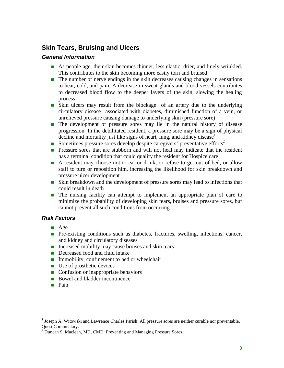# **Skin Tears, Bruising and Ulcers**

### *General Information*

- As people age, their skin becomes thinner, less elastic, drier, and finely wrinkled. This contributes to the skin becoming more easily torn and bruised
- $\blacksquare$  The number of nerve endings in the skin decreases causing changes in sensations to heat, cold, and pain. A decrease in sweat glands and blood vessels contributes to decreased blood flow to the deeper layers of the skin, slowing the healing process
- Skin ulcers may result from the blockage of an artery due to the underlying circulatory disease associated with diabetes, diminished function of a vein, or unrelieved pressure causing damage to underlying skin (pressure sore)
- **The development of pressure sores may lie in the natural history of disease** progression. In the debilitated resident, a pressure sore may be a sign of physical decline and mortality just like signs of heart, lung, and kidney disease
- Sometimes pressure sores develop despite caregivers' preventative efforts<sup>2</sup>
- **Pressure sores that are stubborn and will not heal may indicate that the resident** has a terminal condition that could qualify the resident for Hospice care
- A resident may choose not to eat or drink, or refuse to get out of bed, or allow staff to turn or reposition him, increasing the likelihood for skin breakdown and pressure ulcer development
- Skin breakdown and the development of pressure sores may lead to infections that could result in death
- The nursing facility can attempt to implement an appropriate plan of care to minimize the probability of developing skin tears, bruises and pressure sores, but cannot prevent all such conditions from occurring.

## *Risk Factors*

- $\blacksquare$  Age
- **Pre-existing conditions such as diabetes, fractures, swelling, infections, cancer,** and kidney and circulatory diseases
- Increased mobility may cause bruises and skin tears
- Decreased food and fluid intake
- $\blacksquare$  Immobility, confinement to bed or wheelchair
- $\blacksquare$  Use of prosthetic devices
- Confusion or inappropriate behaviors
- Bowel and bladder incontinence
- **Pain**

 $\overline{a}$ 

<sup>&</sup>lt;sup>1</sup> Joseph A. Witowski and Lawrence Charles Parish: All pressure sores are neither curable nor preventable. Quest Commentary.

 $2^{2}$  Duncan S. Maclean, MD, CMD: Preventing and Managing Pressure Sores.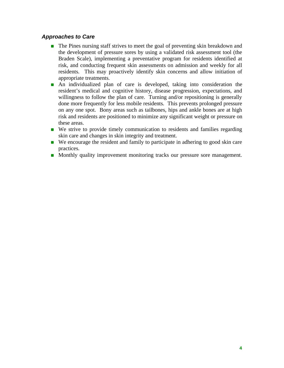### *Approaches to Care*

- The Pines nursing staff strives to meet the goal of preventing skin breakdown and the development of pressure sores by using a validated risk assessment tool (the Braden Scale), implementing a preventative program for residents identified at risk, and conducting frequent skin assessments on admission and weekly for all residents. This may proactively identify skin concerns and allow initiation of appropriate treatments.
- An individualized plan of care is developed, taking into consideration the resident's medical and cognitive history, disease progression, expectations, and willingness to follow the plan of care. Turning and/or repositioning is generally done more frequently for less mobile residents. This prevents prolonged pressure on any one spot. Bony areas such as tailbones, hips and ankle bones are at high risk and residents are positioned to minimize any significant weight or pressure on these areas.
- We strive to provide timely communication to residents and families regarding skin care and changes in skin integrity and treatment.
- We encourage the resident and family to participate in adhering to good skin care practices.
- **Monthly quality improvement monitoring tracks our pressure sore management.**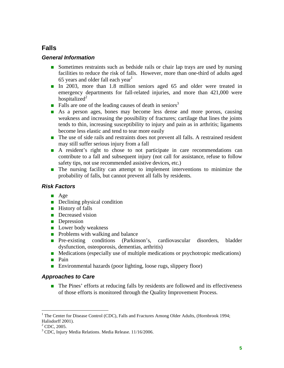# **Falls**

## *General Information*

- Sometimes restraints such as bedside rails or chair lap trays are used by nursing facilities to reduce the risk of falls. However, more than one-third of adults aged 65 years and older fall each year<sup>1</sup>
- In 2003, more than 1.8 million seniors aged 65 and older were treated in emergency departments for fall-related injuries, and more than 421,000 were hospitalized<sup>2</sup>
- **Falls** are one of the leading causes of death in seniors<sup>3</sup>
- As a person ages, bones may become less dense and more porous, causing weakness and increasing the possibility of fractures; cartilage that lines the joints tends to thin, increasing susceptibility to injury and pain as in arthritis; ligaments become less elastic and tend to tear more easily
- The use of side rails and restraints does not prevent all falls. A restrained resident may still suffer serious injury from a fall
- A resident's right to chose to not participate in care recommendations can contribute to a fall and subsequent injury (not call for assistance, refuse to follow safety tips, not use recommended assistive devices, etc.)
- **The nursing facility can attempt to implement interventions to minimize the** probability of falls, but cannot prevent all falls by residents.

## *Risk Factors*

- $\blacksquare$  Age
- Declining physical condition
- $\blacksquare$  History of falls
- Decreased vision
- **Depression**
- **Lower body weakness**
- $\blacksquare$  Problems with walking and balance
- **Pre-existing conditions (Parkinson's, cardiovascular disorders, bladder** dysfunction, osteoporosis, dementias, arthritis)
- $\blacksquare$  Medications (especially use of multiple medications or psychotropic medications)
- **Pain**
- Environmental hazards (poor lighting, loose rugs, slippery floor)

#### *Approaches to Care*

■ The Pines' efforts at reducing falls by residents are followed and its effectiveness of those efforts is monitored through the Quality Improvement Process.

 $\overline{a}$ 

<sup>&</sup>lt;sup>1</sup> The Center for Disease Control (CDC), Falls and Fractures Among Older Adults, (Hornbrook 1994; Halisdorff 2001).

 $^{2}$  CDC, 2005.

<sup>&</sup>lt;sup>3</sup> CDC, Injury Media Relations. Media Release. 11/16/2006.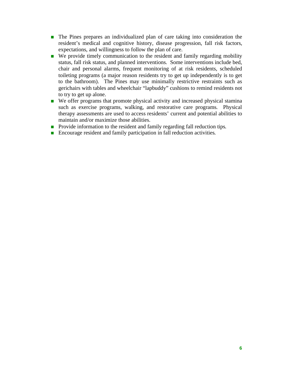- The Pines prepares an individualized plan of care taking into consideration the resident's medical and cognitive history, disease progression, fall risk factors, expectations, and willingness to follow the plan of care.
- We provide timely communication to the resident and family regarding mobility status, fall risk status, and planned interventions. Some interventions include bed, chair and personal alarms, frequent monitoring of at risk residents, scheduled toileting programs (a major reason residents try to get up independently is to get to the bathroom). The Pines may use minimally restrictive restraints such as gerichairs with tables and wheelchair "lapbuddy" cushions to remind residents not to try to get up alone.
- We offer programs that promote physical activity and increased physical stamina such as exercise programs, walking, and restorative care programs. Physical therapy assessments are used to access residents' current and potential abilities to maintain and/or maximize those abilities.
- **Provide information to the resident and family regarding fall reduction tips.**
- Encourage resident and family participation in fall reduction activities.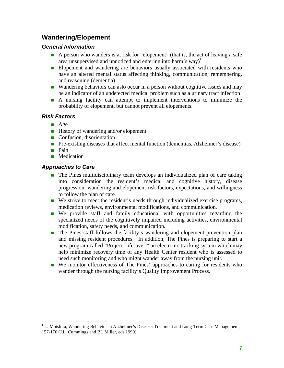# **Wandering/Elopement**

### *General Information*

- A person who wanders is at risk for "elopement" (that is, the act of leaving a safe area unsupervised and unnoticed and entering into harm's way)<sup>1</sup>
- **Elopement and wandering are behaviors usually associated with residents who** have an altered mental status affecting thinking, communication, remembering, and reasoning (dementia)
- Wandering behaviors can aslo occur in a person without cognitive issues and may be an indicator of an undetected medical problem such as a urinary tract infection
- A nursing facility can attempt to implement interventions to minimize the probability of elopement, but cannot prevent all elopements.

### *Risk Factors*

- **Age**
- History of wandering and/or elopement
- Confusion, disorientation
- **Pre-existing diseases that affect mental function (dementias, Alzheimer's disease)**
- **Pain**
- **Medication**

## *Approaches to Care*

- **The Pines multidisciplinary team develops an individualized plan of care taking** into consideration the resident's medical and cognitive history, disease progression, wandering and elopement risk factors, expectations, and willingness to follow the plan of care.
- We strive to meet the resident's needs through individualized exercise programs, medication reviews, environmental modifications, and communication.
- We provide staff and family educational with opportunities regarding the specialized needs of the cognitively impaired including activities, environmental modification, safety needs, and communication.
- **The Pines staff follows the facility's wandering and elopement prevention plan** and missing resident procedures. In addition, The Pines is preparing to start a new program called "Project Lifesaver," an electronic tracking system which may help minimize recovery time of any Health Center resident who is assessed to need such monitoring and who might wander away from the nursing unit.
- We monitor effectiveness of The Pines' approaches to caring for residents who wander through the nursing facility's Quality Improvement Process.

<sup>&</sup>lt;sup>1</sup> L. Moishita, Wandering Behavior in Alzheimer's Disease: Treatment and Long-Term Care Management, 157-176 (J.L. Cummings and BL Miller, eds.1990).